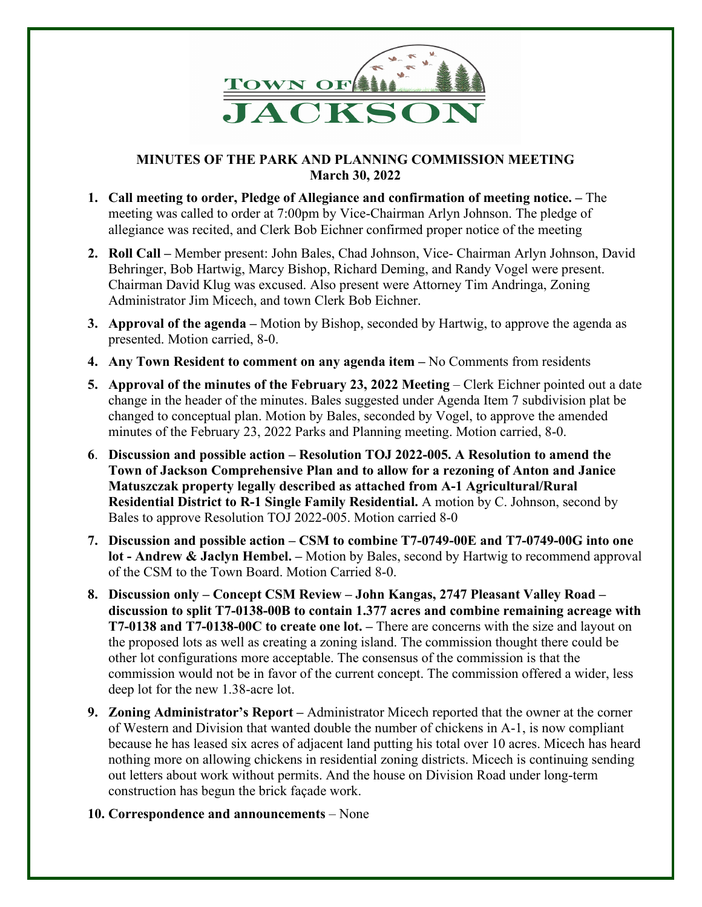

## **MINUTES OF THE PARK AND PLANNING COMMISSION MEETING March 30, 2022**

- **1. Call meeting to order, Pledge of Allegiance and confirmation of meeting notice. –** The meeting was called to order at 7:00pm by Vice-Chairman Arlyn Johnson. The pledge of allegiance was recited, and Clerk Bob Eichner confirmed proper notice of the meeting
- **2. Roll Call –** Member present: John Bales, Chad Johnson, Vice- Chairman Arlyn Johnson, David Behringer, Bob Hartwig, Marcy Bishop, Richard Deming, and Randy Vogel were present. Chairman David Klug was excused. Also present were Attorney Tim Andringa, Zoning Administrator Jim Micech, and town Clerk Bob Eichner.
- **3. Approval of the agenda –** Motion by Bishop, seconded by Hartwig, to approve the agenda as presented. Motion carried, 8-0.
- **4. Any Town Resident to comment on any agenda item –** No Comments from residents
- **5. Approval of the minutes of the February 23, 2022 Meeting** Clerk Eichner pointed out a date change in the header of the minutes. Bales suggested under Agenda Item 7 subdivision plat be changed to conceptual plan. Motion by Bales, seconded by Vogel, to approve the amended minutes of the February 23, 2022 Parks and Planning meeting. Motion carried, 8-0.
- **6**. **Discussion and possible action – Resolution TOJ 2022-005. A Resolution to amend the Town of Jackson Comprehensive Plan and to allow for a rezoning of Anton and Janice Matuszczak property legally described as attached from A-1 Agricultural/Rural Residential District to R-1 Single Family Residential.** A motion by C. Johnson, second by Bales to approve Resolution TOJ 2022-005. Motion carried 8-0
- **7. Discussion and possible action – CSM to combine T7-0749-00E and T7-0749-00G into one lot - Andrew & Jaclyn Hembel. –** Motion by Bales, second by Hartwig to recommend approval of the CSM to the Town Board. Motion Carried 8-0.
- **8. Discussion only – Concept CSM Review – John Kangas, 2747 Pleasant Valley Road – discussion to split T7-0138-00B to contain 1.377 acres and combine remaining acreage with T7-0138 and T7-0138-00C to create one lot. –** There are concerns with the size and layout on the proposed lots as well as creating a zoning island. The commission thought there could be other lot configurations more acceptable. The consensus of the commission is that the commission would not be in favor of the current concept. The commission offered a wider, less deep lot for the new 1.38-acre lot.
- **9. Zoning Administrator's Report –** Administrator Micech reported that the owner at the corner of Western and Division that wanted double the number of chickens in A-1, is now compliant because he has leased six acres of adjacent land putting his total over 10 acres. Micech has heard nothing more on allowing chickens in residential zoning districts. Micech is continuing sending out letters about work without permits. And the house on Division Road under long-term construction has begun the brick façade work.
- **10. Correspondence and announcements** None